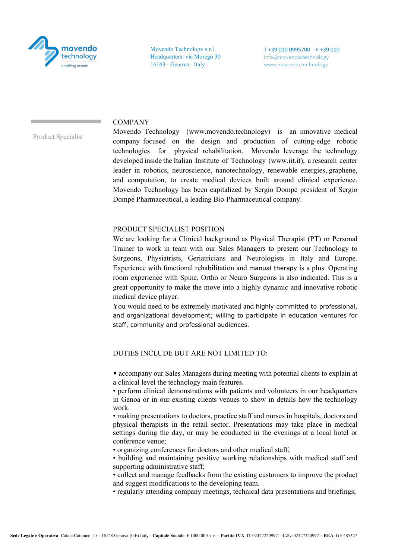

Movendo Technology s.r.l. Headquarters: via Morego 30 16163 - Genova - Italy

T +39 010 0995700 - F +39 010 info@movendo.technology www.movendo.technology

## COMPANY

Product Specialist

Movendo Technology (www.movendo.technology) is an innovative medical company focused on the design and production of cutting-edge robotic technologies for physical rehabilitation. Movendo leverage the technology developed inside the Italian Institute of Technology (www.iit.it), a research center leader in robotics, neuroscience, nanotechnology, renewable energies, graphene, and computation, to create medical devices built around clinical experience. Movendo Technology has been capitalized by Sergio Dompé president of Sergio Dompé Pharmaceutical, a leading Bio-Pharmaceutical company.

## PRODUCT SPECIALIST POSITION

We are looking for a Clinical background as Physical Therapist (PT) or Personal Trainer to work in team with our Sales Managers to present our Technology to Surgeons, Physiatrists, Geriatricians and Neurologists in Italy and Europe. Experience with functional rehabilitation and manual therapy is a plus. Operating room experience with Spine, Ortho or Neuro Surgeons is also indicated. This is a great opportunity to make the move into a highly dynamic and innovative robotic medical device player.

You would need to be extremely motivated and highly committed to professional, and organizational development; willing to participate in education ventures for staff, community and professional audiences.

## DUTIES INCLUDE BUT ARE NOT LIMITED TO:

• accompany our Sales Managers during meeting with potential clients to explain at a clinical level the technology main features.

• perform clinical demonstrations with patients and volunteers in our headquarters in Genoa or in our existing clients venues to show in details how the technology work.

• making presentations to doctors, practice staff and nurses in hospitals, doctors and physical therapists in the retail sector. Presentations may take place in medical settings during the day, or may be conducted in the evenings at a local hotel or conference venue;

• organizing conferences for doctors and other medical staff;

• building and maintaining positive working relationships with medical staff and supporting administrative staff;

• collect and manage feedbacks from the existing customers to improve the product and suggest modifications to the developing team.

• regularly attending company meetings, technical data presentations and briefings;